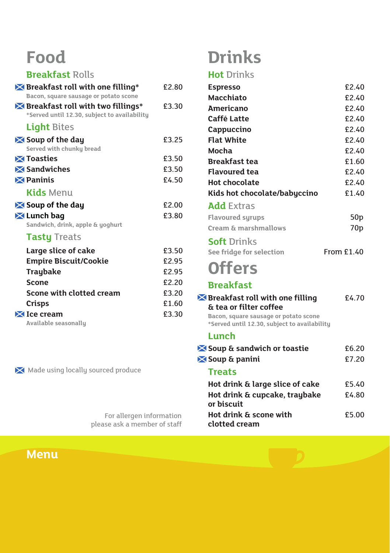## **Food**

#### **Breakfast** Rolls

| X Breakfast roll with one filling*<br>Bacon, square sausage or potato scone                             | £2.80 |
|---------------------------------------------------------------------------------------------------------|-------|
| $\blacktriangleright$ Breakfast roll with two fillings*<br>*Served until 12.30, subject to availability | £3.30 |
| <b>Light Bites</b>                                                                                      |       |
| $\blacktriangleright$ Soup of the day<br>Served with chunky bread                                       | £3.25 |
| <b>X</b> Toasties                                                                                       | £3.50 |
| Sandwiches                                                                                              | £3.50 |
| $\boxtimes$ Paninis                                                                                     | £4.50 |
| <b>Kids</b> Menu                                                                                        |       |
| $\blacktriangleright$ Soup of the day                                                                   | £2.00 |
| X Lunch bag<br>Sandwich, drink, apple & yoghurt                                                         | £3.80 |
| <b>Tasty Treats</b>                                                                                     |       |
| Large slice of cake                                                                                     | £3.50 |
| <b>Empire Biscuit/Cookie</b>                                                                            | £2.95 |
| <b>Traybake</b>                                                                                         | £2.95 |
| Scone                                                                                                   | £2.20 |
| Scone with clotted cream                                                                                | £3.20 |
| Crisps                                                                                                  | £1.60 |
| $\mathbf{\Sigma}$ Ice cream                                                                             | £3.30 |

**Available seasonally**

Made using locally sourced produce

For allergen information please ask a member of staff

**Menu**

# **Drinks**

#### **Hot** Drinks

| <b>Espresso</b>                                                                                                          | £2.40           |
|--------------------------------------------------------------------------------------------------------------------------|-----------------|
| <b>Macchiato</b>                                                                                                         | £2.40           |
| <b>Americano</b>                                                                                                         | £2.40           |
| Caffé Latte                                                                                                              | £2.40           |
| Cappuccino                                                                                                               | £2.40           |
| <b>Flat White</b>                                                                                                        | £2.40           |
| Mocha                                                                                                                    | £2.40           |
| <b>Breakfast tea</b>                                                                                                     | £1.60           |
| <b>Flavoured tea</b>                                                                                                     | £2.40           |
| <b>Hot chocolate</b>                                                                                                     | £2.40           |
| Kids hot chocolate/babyccino                                                                                             | £1.40           |
| <b>Add Extras</b>                                                                                                        |                 |
| <b>Flavoured surups</b>                                                                                                  | 50 <sub>p</sub> |
| Cream & marshmallows                                                                                                     | 70 <sub>p</sub> |
| <b>Soft Drinks</b>                                                                                                       |                 |
| See fridge for selection                                                                                                 | From £1.40      |
| <b>Offers</b>                                                                                                            |                 |
| <b>Breakfast</b>                                                                                                         |                 |
| $\blacktriangleright$ Breakfast roll with one filling<br>& tea or filter coffee<br>Bacon, square sausage or potato scone | f4.70           |
| *Served until 12.30, subject to availability                                                                             |                 |
| Lunch                                                                                                                    |                 |
| Soup & sandwich or toastie                                                                                               | £6.20           |
| Soup & panini                                                                                                            | £7.20           |
| <b>Treats</b>                                                                                                            |                 |
| Hot drink & large slice of cake                                                                                          | £5.40           |
| Hot drink & cupcake, traybake<br>or biscuit                                                                              | £4.80           |
| Hot drink & scone with<br>clotted cream                                                                                  | £5.00           |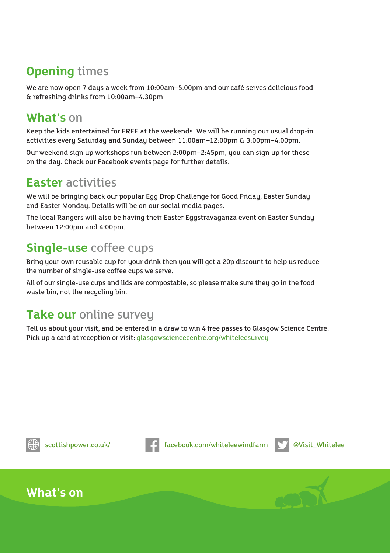### **Opening** times

We are now open 7 days a week from 10:00am–5.00pm and our café serves delicious food & refreshing drinks from 10:00am–4.30pm

#### **What's** on

Keep the kids entertained for **FREE** at the weekends. We will be running our usual drop-in activities every Saturday and Sunday between 11:00am–12:00pm & 3:00pm–4:00pm.

Our weekend sign up workshops run between 2:00pm–2:45pm, you can sign up for these on the day. Check our Facebook events page for further details.

#### **Easter** activities

We will be bringing back our popular Egg Drop Challenge for Good Friday, Easter Sunday and Easter Monday. Details will be on our social media pages.

The local Rangers will also be having their Easter Eggstravaganza event on Easter Sunday between 12:00pm and 4:00pm.

### **Single-use** coffee cups

Bring your own reusable cup for your drink then you will get a 20p discount to help us reduce the number of single-use coffee cups we serve.

All of our single-use cups and lids are compostable, so please make sure they go in the food waste bin, not the recycling bin.

#### **Take our online survey**

Tell us about your visit, and be entered in a draw to win 4 free passes to Glasgow Science Centre. Pick up a card at reception or visit: glasgowsciencecentre.org/whiteleesurvey





scottishpower.co.uk/ **facebook.com/whiteleewindfarm**